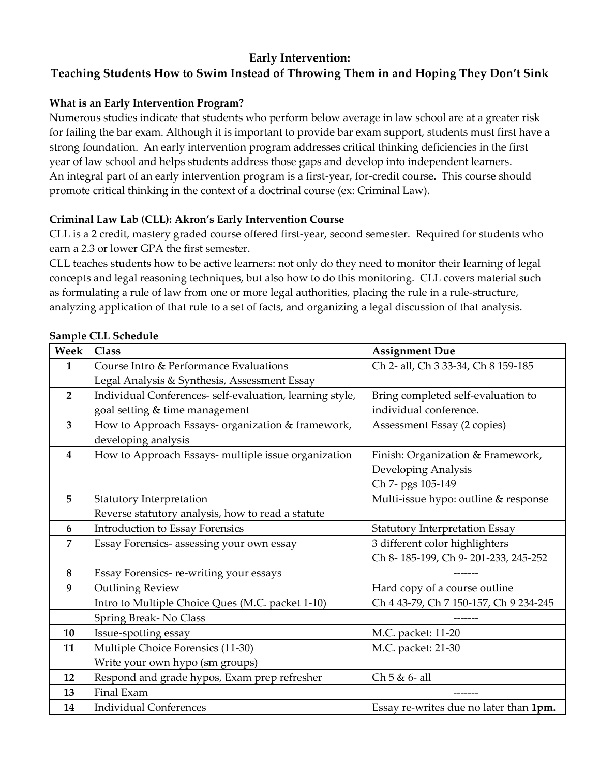## **Early Intervention:**

# **Teaching Students How to Swim Instead of Throwing Them in and Hoping They Don't Sink**

## **What is an Early Intervention Program?**

Numerous studies indicate that students who perform below average in law school are at a greater risk for failing the bar exam. Although it is important to provide bar exam support, students must first have a strong foundation. An early intervention program addresses critical thinking deficiencies in the first year of law school and helps students address those gaps and develop into independent learners. An integral part of an early intervention program is a first-year, for-credit course. This course should promote critical thinking in the context of a doctrinal course (ex: Criminal Law).

## **Criminal Law Lab (CLL): Akron's Early Intervention Course**

CLL is a 2 credit, mastery graded course offered first-year, second semester. Required for students who earn a 2.3 or lower GPA the first semester.

CLL teaches students how to be active learners: not only do they need to monitor their learning of legal concepts and legal reasoning techniques, but also how to do this monitoring. CLL covers material such as formulating a rule of law from one or more legal authorities, placing the rule in a rule-structure, analyzing application of that rule to a set of facts, and organizing a legal discussion of that analysis.

| Week                    | <b>Class</b>                                             | <b>Assignment Due</b>                  |
|-------------------------|----------------------------------------------------------|----------------------------------------|
| 1                       | Course Intro & Performance Evaluations                   | Ch 2- all, Ch 3 33-34, Ch 8 159-185    |
|                         | Legal Analysis & Synthesis, Assessment Essay             |                                        |
| $\overline{2}$          | Individual Conferences- self-evaluation, learning style, | Bring completed self-evaluation to     |
|                         | goal setting & time management                           | individual conference.                 |
| $\overline{\mathbf{3}}$ | How to Approach Essays- organization & framework,        | Assessment Essay (2 copies)            |
|                         | developing analysis                                      |                                        |
| $\overline{\mathbf{4}}$ | How to Approach Essays- multiple issue organization      | Finish: Organization & Framework,      |
|                         |                                                          | Developing Analysis                    |
|                         |                                                          | Ch 7- pgs 105-149                      |
| 5                       | Statutory Interpretation                                 | Multi-issue hypo: outline & response   |
|                         | Reverse statutory analysis, how to read a statute        |                                        |
| 6                       | <b>Introduction to Essay Forensics</b>                   | <b>Statutory Interpretation Essay</b>  |
| 7                       | Essay Forensics- assessing your own essay                | 3 different color highlighters         |
|                         |                                                          | Ch 8-185-199, Ch 9-201-233, 245-252    |
| 8                       | Essay Forensics-re-writing your essays                   |                                        |
| 9                       | <b>Outlining Review</b>                                  | Hard copy of a course outline          |
|                         | Intro to Multiple Choice Ques (M.C. packet 1-10)         | Ch 4 43-79, Ch 7 150-157, Ch 9 234-245 |
|                         | Spring Break-No Class                                    |                                        |
| 10                      | Issue-spotting essay                                     | M.C. packet: 11-20                     |
| 11                      | Multiple Choice Forensics (11-30)                        | M.C. packet: 21-30                     |
|                         | Write your own hypo (sm groups)                          |                                        |
| 12                      | Respond and grade hypos, Exam prep refresher             | Ch 5 & 6- all                          |
| 13                      | Final Exam                                               |                                        |
| 14                      | <b>Individual Conferences</b>                            | Essay re-writes due no later than 1pm. |

#### **Sample CLL Schedule**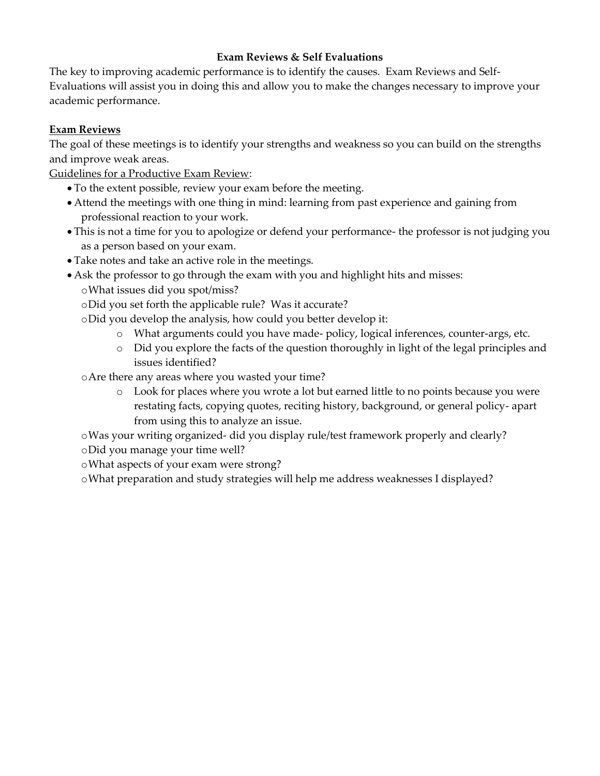#### **Exam Reviews & Self Evaluations**

The key to improving academic performance is to identify the causes. Exam Reviews and Self-Evaluations will assist you in doing this and allow you to make the changes necessary to improve your academic performance.

#### **Exam Reviews**

The goal of these meetings is to identify your strengths and weakness so you can build on the strengths and improve weak areas.

Guidelines for a Productive Exam Review:

- To the extent possible, review your exam before the meeting.
- Attend the meetings with one thing in mind: learning from past experience and gaining from professional reaction to your work.
- This is not a time for you to apologize or defend your performance- the professor is not judging you as a person based on your exam.
- Take notes and take an active role in the meetings.
- Ask the professor to go through the exam with you and highlight hits and misses:
	- oWhat issues did you spot/miss?
	- oDid you set forth the applicable rule? Was it accurate?
	- oDid you develop the analysis, how could you better develop it:
		- o What arguments could you have made- policy, logical inferences, counter-args, etc.
		- o Did you explore the facts of the question thoroughly in light of the legal principles and issues identified?
	- oAre there any areas where you wasted your time?
		- o Look for places where you wrote a lot but earned little to no points because you were restating facts, copying quotes, reciting history, background, or general policy- apart from using this to analyze an issue.

oWas your writing organized- did you display rule/test framework properly and clearly? oDid you manage your time well?

oWhat aspects of your exam were strong?

oWhat preparation and study strategies will help me address weaknesses I displayed?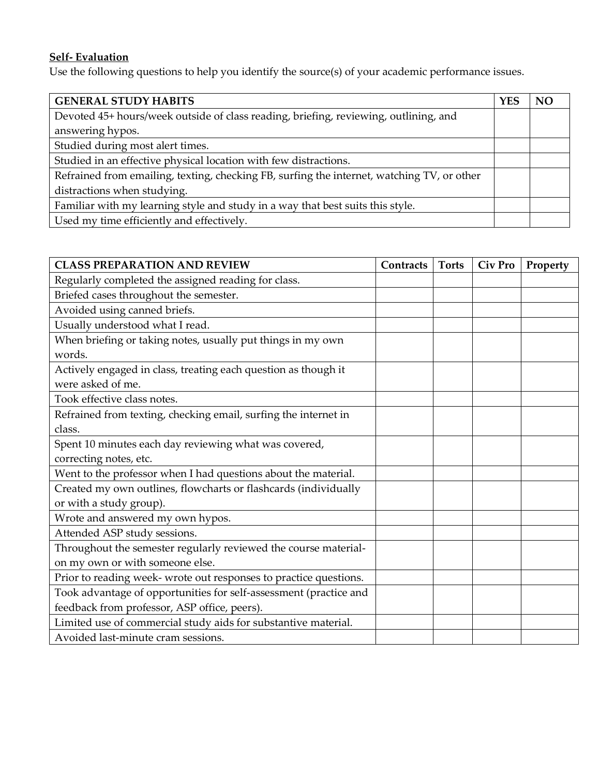# **Self- Evaluation**

Use the following questions to help you identify the source(s) of your academic performance issues.

| <b>GENERAL STUDY HABITS</b>                                                                | <b>YES</b> | N <sub>C</sub> |
|--------------------------------------------------------------------------------------------|------------|----------------|
| Devoted 45+ hours/week outside of class reading, briefing, reviewing, outlining, and       |            |                |
| answering hypos.                                                                           |            |                |
| Studied during most alert times.                                                           |            |                |
| Studied in an effective physical location with few distractions.                           |            |                |
| Refrained from emailing, texting, checking FB, surfing the internet, watching TV, or other |            |                |
| distractions when studying.                                                                |            |                |
| Familiar with my learning style and study in a way that best suits this style.             |            |                |
| Used my time efficiently and effectively.                                                  |            |                |

| <b>CLASS PREPARATION AND REVIEW</b>                               | Contracts | <b>Torts</b> | <b>Civ Pro</b> | Property |
|-------------------------------------------------------------------|-----------|--------------|----------------|----------|
| Regularly completed the assigned reading for class.               |           |              |                |          |
| Briefed cases throughout the semester.                            |           |              |                |          |
| Avoided using canned briefs.                                      |           |              |                |          |
| Usually understood what I read.                                   |           |              |                |          |
| When briefing or taking notes, usually put things in my own       |           |              |                |          |
| words.                                                            |           |              |                |          |
| Actively engaged in class, treating each question as though it    |           |              |                |          |
| were asked of me.                                                 |           |              |                |          |
| Took effective class notes.                                       |           |              |                |          |
| Refrained from texting, checking email, surfing the internet in   |           |              |                |          |
| class.                                                            |           |              |                |          |
| Spent 10 minutes each day reviewing what was covered,             |           |              |                |          |
| correcting notes, etc.                                            |           |              |                |          |
| Went to the professor when I had questions about the material.    |           |              |                |          |
| Created my own outlines, flowcharts or flashcards (individually   |           |              |                |          |
| or with a study group).                                           |           |              |                |          |
| Wrote and answered my own hypos.                                  |           |              |                |          |
| Attended ASP study sessions.                                      |           |              |                |          |
| Throughout the semester regularly reviewed the course material-   |           |              |                |          |
| on my own or with someone else.                                   |           |              |                |          |
| Prior to reading week- wrote out responses to practice questions. |           |              |                |          |
| Took advantage of opportunities for self-assessment (practice and |           |              |                |          |
| feedback from professor, ASP office, peers).                      |           |              |                |          |
| Limited use of commercial study aids for substantive material.    |           |              |                |          |
| Avoided last-minute cram sessions.                                |           |              |                |          |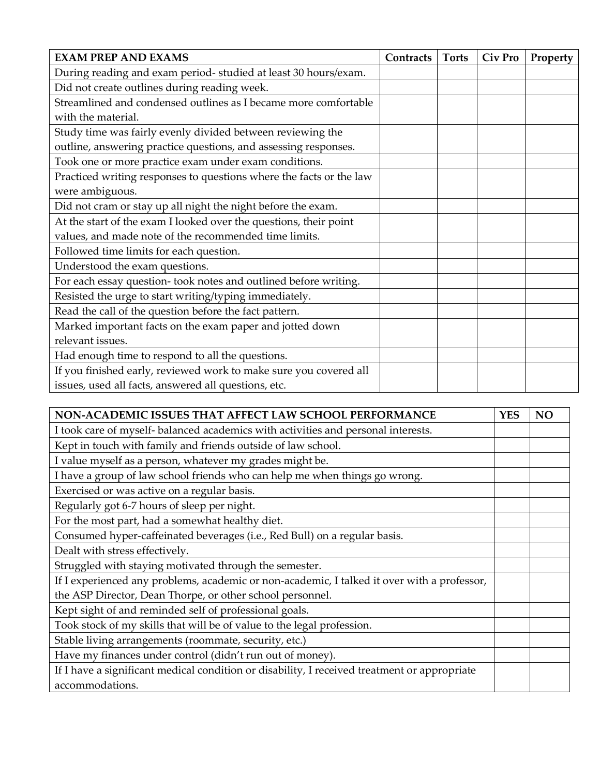| <b>EXAM PREP AND EXAMS</b>                                          | Contracts | <b>Torts</b> | Civ Pro | Property |
|---------------------------------------------------------------------|-----------|--------------|---------|----------|
| During reading and exam period- studied at least 30 hours/exam.     |           |              |         |          |
| Did not create outlines during reading week.                        |           |              |         |          |
| Streamlined and condensed outlines as I became more comfortable     |           |              |         |          |
| with the material.                                                  |           |              |         |          |
| Study time was fairly evenly divided between reviewing the          |           |              |         |          |
| outline, answering practice questions, and assessing responses.     |           |              |         |          |
| Took one or more practice exam under exam conditions.               |           |              |         |          |
| Practiced writing responses to questions where the facts or the law |           |              |         |          |
| were ambiguous.                                                     |           |              |         |          |
| Did not cram or stay up all night the night before the exam.        |           |              |         |          |
| At the start of the exam I looked over the questions, their point   |           |              |         |          |
| values, and made note of the recommended time limits.               |           |              |         |          |
| Followed time limits for each question.                             |           |              |         |          |
| Understood the exam questions.                                      |           |              |         |          |
| For each essay question- took notes and outlined before writing.    |           |              |         |          |
| Resisted the urge to start writing/typing immediately.              |           |              |         |          |
| Read the call of the question before the fact pattern.              |           |              |         |          |
| Marked important facts on the exam paper and jotted down            |           |              |         |          |
| relevant issues.                                                    |           |              |         |          |
| Had enough time to respond to all the questions.                    |           |              |         |          |
| If you finished early, reviewed work to make sure you covered all   |           |              |         |          |
| issues, used all facts, answered all questions, etc.                |           |              |         |          |

| NON-ACADEMIC ISSUES THAT AFFECT LAW SCHOOL PERFORMANCE                                       | <b>YES</b> | N <sub>O</sub> |
|----------------------------------------------------------------------------------------------|------------|----------------|
| I took care of myself- balanced academics with activities and personal interests.            |            |                |
| Kept in touch with family and friends outside of law school.                                 |            |                |
| I value myself as a person, whatever my grades might be.                                     |            |                |
| I have a group of law school friends who can help me when things go wrong.                   |            |                |
| Exercised or was active on a regular basis.                                                  |            |                |
| Regularly got 6-7 hours of sleep per night.                                                  |            |                |
| For the most part, had a somewhat healthy diet.                                              |            |                |
| Consumed hyper-caffeinated beverages (i.e., Red Bull) on a regular basis.                    |            |                |
| Dealt with stress effectively.                                                               |            |                |
| Struggled with staying motivated through the semester.                                       |            |                |
| If I experienced any problems, academic or non-academic, I talked it over with a professor,  |            |                |
| the ASP Director, Dean Thorpe, or other school personnel.                                    |            |                |
| Kept sight of and reminded self of professional goals.                                       |            |                |
| Took stock of my skills that will be of value to the legal profession.                       |            |                |
| Stable living arrangements (roommate, security, etc.)                                        |            |                |
| Have my finances under control (didn't run out of money).                                    |            |                |
| If I have a significant medical condition or disability, I received treatment or appropriate |            |                |
| accommodations.                                                                              |            |                |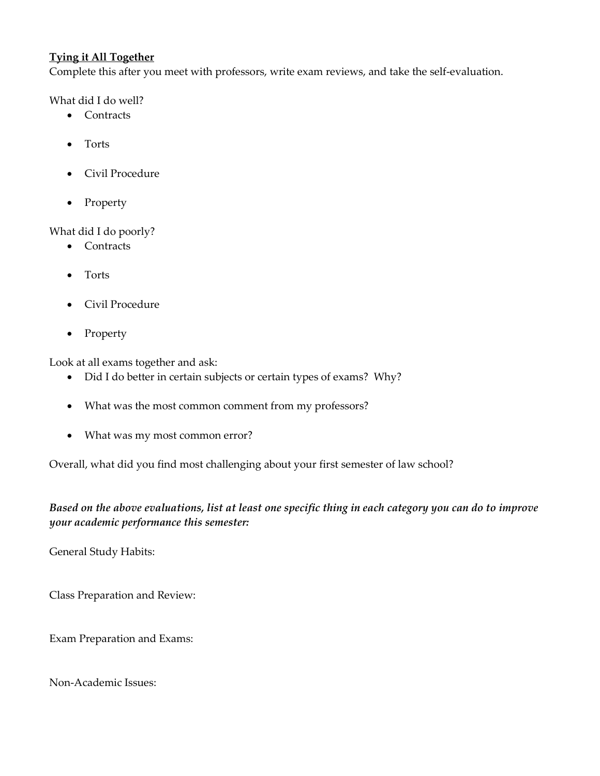#### **Tying it All Together**

Complete this after you meet with professors, write exam reviews, and take the self-evaluation.

What did I do well?

- Contracts
- Torts
- Civil Procedure
- Property

What did I do poorly?

- Contracts
- Torts
- Civil Procedure
- Property

Look at all exams together and ask:

- Did I do better in certain subjects or certain types of exams? Why?
- What was the most common comment from my professors?
- What was my most common error?

Overall, what did you find most challenging about your first semester of law school?

#### *Based on the above evaluations, list at least one specific thing in each category you can do to improve your academic performance this semester:*

General Study Habits:

Class Preparation and Review:

Exam Preparation and Exams:

Non-Academic Issues: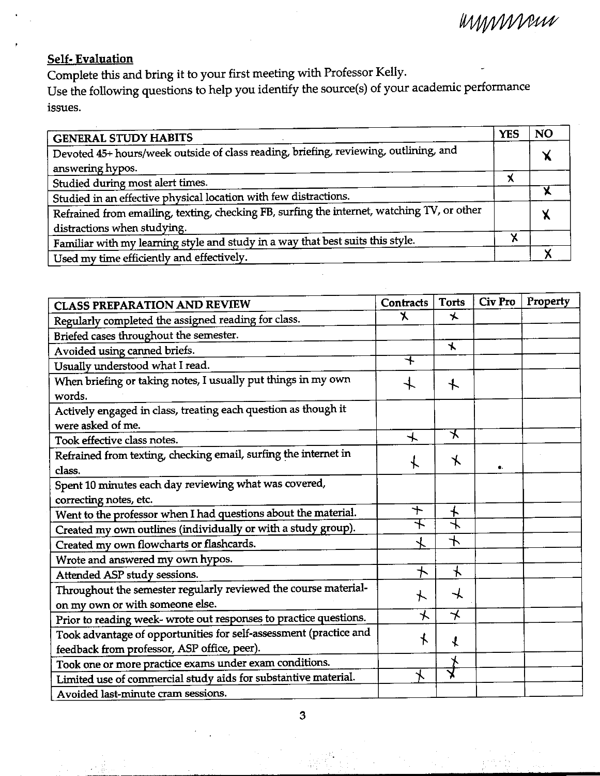mmmmm

## **Self-Evaluation**

Complete this and bring it to your first meeting with Professor Kelly.

Use the following questions to help you identify the source(s) of your academic performance issues.

| <b>GENERAL STUDY HABITS</b>                                                                | <b>YES</b> | <b>NO</b> |
|--------------------------------------------------------------------------------------------|------------|-----------|
| Devoted 45+ hours/week outside of class reading, briefing, reviewing, outlining, and       |            | V         |
| answering hypos.                                                                           |            |           |
| Studied during most alert times.                                                           | X          |           |
| Studied in an effective physical location with few distractions.                           |            |           |
| Refrained from emailing, texting, checking FB, surfing the internet, watching TV, or other |            |           |
| distractions when studying.                                                                |            |           |
| Familiar with my learning style and study in a way that best suits this style.             |            |           |
| Used my time efficiently and effectively.                                                  |            |           |

| <b>CLASS PREPARATION AND REVIEW</b>                                                                              | <b>Contracts</b>         | <b>Torts</b>             | Civ Pro | Property |
|------------------------------------------------------------------------------------------------------------------|--------------------------|--------------------------|---------|----------|
| Regularly completed the assigned reading for class.                                                              | Κ                        | $\star$                  |         |          |
| Briefed cases throughout the semester.                                                                           |                          |                          |         |          |
| Avoided using canned briefs.                                                                                     |                          | $\star$                  |         |          |
| Usually understood what I read.                                                                                  | ┶                        |                          |         |          |
| When briefing or taking notes, I usually put things in my own<br>words.                                          |                          | $\ddag$                  |         |          |
| Actively engaged in class, treating each question as though it<br>were asked of me.                              |                          |                          |         |          |
| Took effective class notes.                                                                                      | $\overline{\phantom{a}}$ | ⊀                        |         |          |
| Refrained from texting, checking email, surfing the internet in<br>class.                                        |                          | $\star$                  | ۰.      |          |
| Spent 10 minutes each day reviewing what was covered,                                                            |                          |                          |         |          |
| correcting notes, etc.                                                                                           |                          |                          |         |          |
| Went to the professor when I had questions about the material.                                                   | $+$                      | $\bm{+}$                 |         |          |
| Created my own outlines (individually or with a study group).                                                    | 乇                        | 乁                        |         |          |
| Created my own flowcharts or flashcards.                                                                         |                          | $\overline{\phantom{a}}$ |         |          |
| Wrote and answered my own hypos.                                                                                 |                          |                          |         |          |
| Attended ASP study sessions.                                                                                     | $\, \pm \,$              | $\star$                  |         |          |
| Throughout the semester regularly reviewed the course material-<br>on my own or with someone else.               | $\star$                  | $\overline{\mathcal{X}}$ |         |          |
| Prior to reading week- wrote out responses to practice questions.                                                | $\star$                  | $\star$                  |         |          |
| Took advantage of opportunities for self-assessment (practice and<br>feedback from professor, ASP office, peer). | $\star$                  | $\mathbf{\hat{X}}$       |         |          |
| Took one or more practice exams under exam conditions.                                                           |                          |                          |         |          |
| Limited use of commercial study aids for substantive material.                                                   | $\star$                  |                          |         |          |
| Avoided last-minute cram sessions.                                                                               |                          |                          |         |          |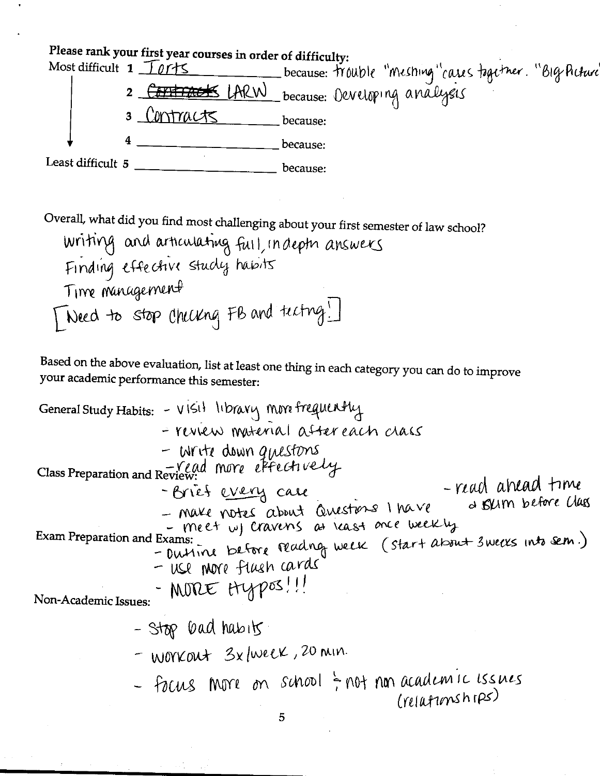

Overall, what did you find most challenging about your first semester of law school? writing and articulating full, indept answers Finding effective study habits Time management [Need to stop checking FB and tecting  $\Box$ 

Based on the above evaluation, list at least one thing in each category you can do to improve your academic performance this semester:

General Study Habits: - VISit library more frequently - review material after each class  $-$  Write down questions Class Preparation and Review: More effectively -reach ahead time - Brief every case a skim before class - Make notes about Questions I have - meet wy cravens as least once weekly Exam Preparation and Exams: -mm. Lettre Madrog week (start about 3 weeks into sem.) - use nore flush cards - MORE HYPOS!! Non-Academic Issues: - Stop bad habits - WOYKOUT 3x/WEEK, 20 MIN. - Focus more on school ; not non academic issues  $(reiAnmshms)$